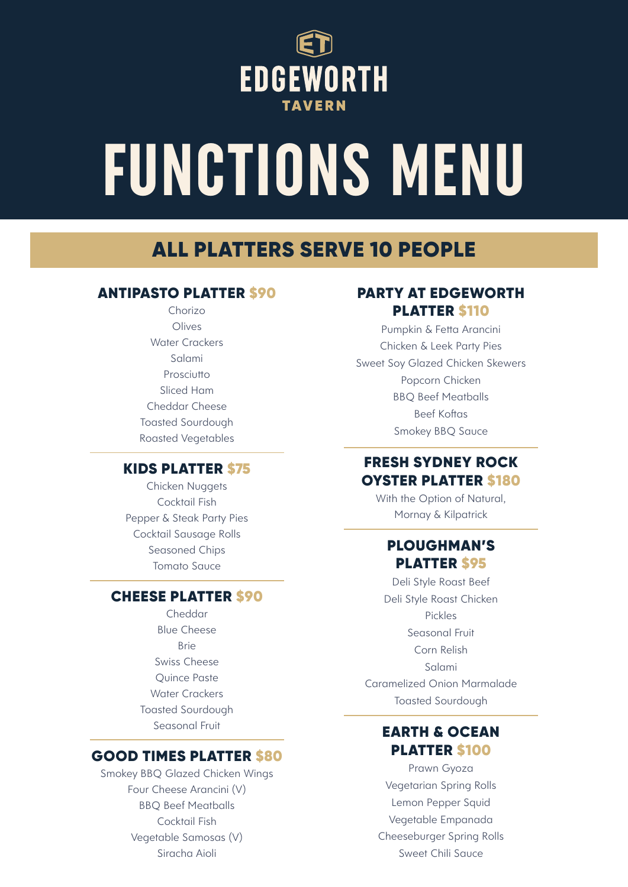

# **FUNCTIONS MENU**

## ALL PLATTERS SERVE 10 PEOPLE

## ANTIPASTO PLATTER \$90

Chorizo Olives Water Crackers Salami Prosciutto Sliced Ham Cheddar Cheese Toasted Sourdough Roasted Vegetables

## KIDS PLATTER \$75

Chicken Nuggets Cocktail Fish Pepper & Steak Party Pies Cocktail Sausage Rolls Seasoned Chips Tomato Sauce

## CHEESE PLATTER \$90

Cheddar Blue Cheese Brie Swiss Cheese Quince Paste Water Crackers Toasted Sourdough Seasonal Fruit

## GOOD TIMES PLATTER \$80

Smokey BBQ Glazed Chicken Wings Four Cheese Arancini (V) BBQ Beef Meatballs Cocktail Fish Vegetable Samosas (V) Siracha Aioli

## PARTY AT EDGEWORTH PLATTER \$110

Pumpkin & Fetta Arancini Chicken & Leek Party Pies Sweet Soy Glazed Chicken Skewers Popcorn Chicken BBQ Beef Meatballs Beef Koftas Smokey BBQ Sauce

## FRESH SYDNEY ROCK OYSTER PLATTER \$180

With the Option of Natural, Mornay & Kilpatrick

## PLOUGHMAN'S PLATTER \$95

Deli Style Roast Beef Deli Style Roast Chicken Pickles Seasonal Fruit Corn Relish Salami Caramelized Onion Marmalade Toasted Sourdough

## EARTH & OCEAN PLATTER \$100

Prawn Gyoza Vegetarian Spring Rolls Lemon Pepper Squid Vegetable Empanada Cheeseburger Spring Rolls Sweet Chili Sauce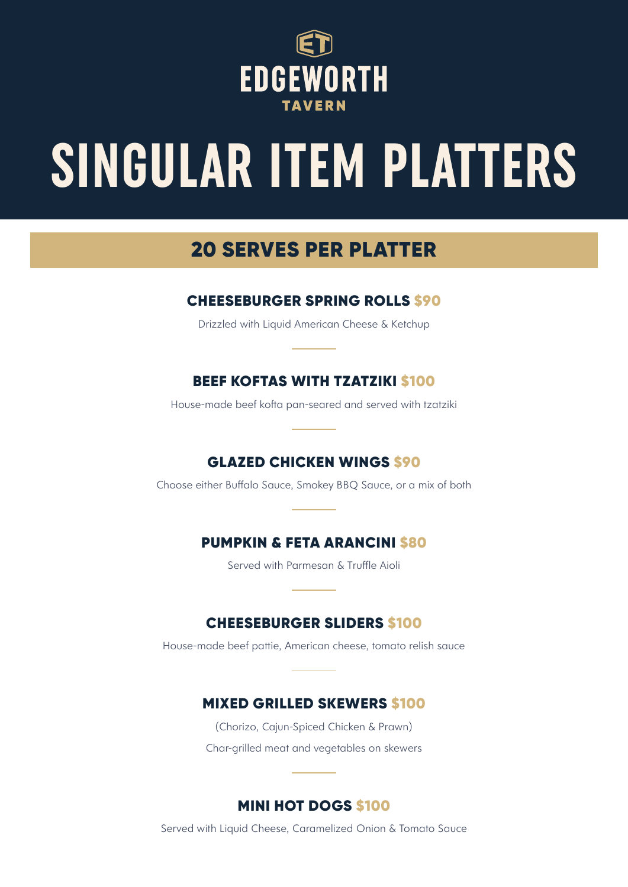

## **SINGULAR ITEM PLATTERS**

## 20 SERVES PER PLATTER

## CHEESEBURGER SPRING ROLLS \$90

Drizzled with Liquid American Cheese & Ketchup

## BEEF KOFTAS WITH TZATZIKI \$100

House-made beef kofta pan-seared and served with tzatziki

## GLAZED CHICKEN WINGS \$90

Choose either Buffalo Sauce, Smokey BBQ Sauce, or a mix of both

## PUMPKIN & FETA ARANCINI \$80

Served with Parmesan & Truffle Aioli

## CHEESEBURGER SLIDERS \$100

House-made beef pattie, American cheese, tomato relish sauce

## MIXED GRILLED SKEWERS \$100

(Chorizo, Cajun-Spiced Chicken & Prawn) Char-grilled meat and vegetables on skewers

## MINI HOT DOGS \$100

Served with Liquid Cheese, Caramelized Onion & Tomato Sauce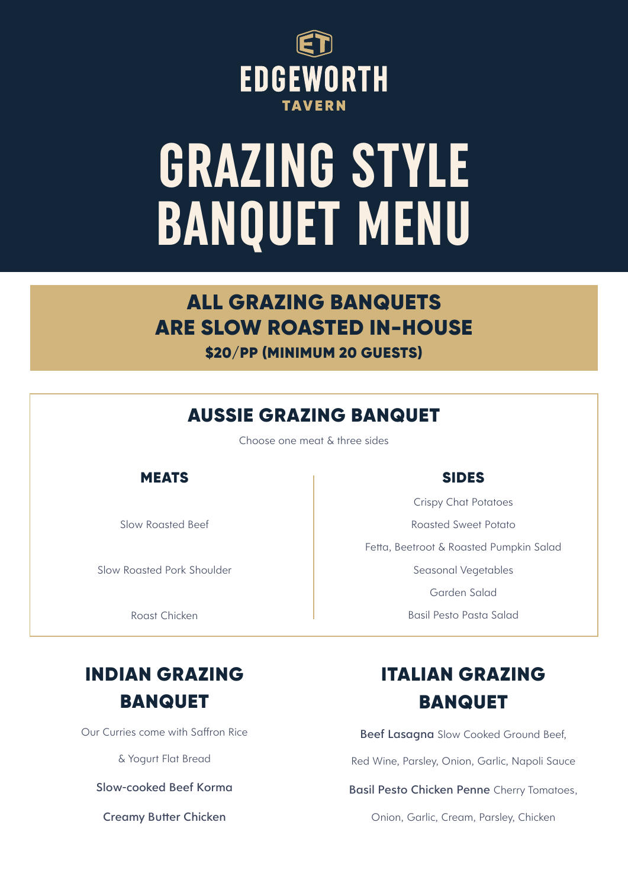

## **GRAZING STYLE BANQUET MENU**

## ALL GRAZING BANQUETS ARE SLOW ROASTED IN-HOUSE \$20/PP (MINIMUM 20 GUESTS)

## AUSSIE GRAZING BANQUET

Choose one meat & three sides

## **MEATS**

Slow Roasted Beef

Slow Roasted Pork Shoulder

Roast Chicken

## SIDES

Crispy Chat Potatoes Roasted Sweet Potato Fetta, Beetroot & Roasted Pumpkin Salad Seasonal Vegetables Garden Salad Basil Pesto Pasta Salad

## INDIAN GRAZING BANQUET

Our Curries come with Saffron Rice

& Yogurt Flat Bread

Slow-cooked Beef Korma

Creamy Butter Chicken

## ITALIAN GRAZING **BANQUET**

Beef Lasagna Slow Cooked Ground Beef.

Red Wine, Parsley, Onion, Garlic, Napoli Sauce

Basil Pesto Chicken Penne Cherry Tomatoes,

Onion, Garlic, Cream, Parsley, Chicken